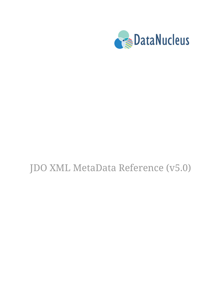

# JDO XML MetaData Reference (v5.0)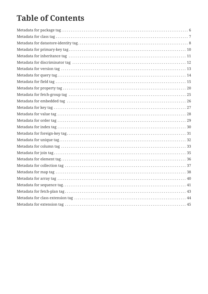#### **Table of Contents**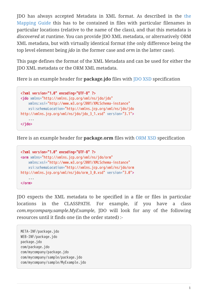JDO has always accepted Metadata in XML format. As described in the [the](mapping.html) [Mapping Guide](mapping.html) this has to be contained in files with particular filenames in particular locations (relative to the name of the class), and that this metadata is *discovered* at runtime. You can provide JDO XML metadata, or alternatively ORM XML metadata, but with virtually identical format (the only difference being the top level element being *jdo* in the former case and *orm* in the latter case).

This page defines the format of the XML Metadata and can be used for either the JDO XML metadata or the ORM XML metadata.

Here is an example header for **package.jdo** files with [JDO XSD](http://xmlns.jcp.org/xml/ns/jdo/jdo_3_0.xsd) specification

```
<?xml version="1.0" encoding="UTF-8" ?>
<jdo xmlns="http://xmlns.jcp.org/xml/ns/jdo/jdo"
      xmlns:xsi="http://www.w3.org/2001/XMLSchema-instance"
      xsi:schemaLocation="http://xmlns.jcp.org/xml/ns/jdo/jdo
http://xmlns.jcp.org/xml/ns/jdo/jdo_3_1.xsd" version="3.1">
      ...
</jdo>
```
Here is an example header for **package.orm** files with [ORM XSD](http://xmlns.jcp.org/xml/ns/jdo/orm_3_0.xsd) specification

```
<?xml version="1.0" encoding="UTF-8" ?>
<orm xmlns="http://xmlns.jcp.org/xml/ns/jdo/orm"
      xmlns:xsi="http://www.w3.org/2001/XMLSchema-instance"
      xsi:schemaLocation="http://xmlns.jcp.org/xml/ns/jdo/orm
http://xmlns.jcp.org/xml/ns/jdo/orm_3_0.xsd" version="3.0">
      ...
</orm>
```
JDO expects the XML metadata to be specified in a file or files in particular locations in the CLASSPATH. For example, if you have a class *com.mycompany.sample.MyExample*, JDO will look for any of the following resources until it finds one (in the order stated) :-

```
META-INF/package.jdo
WEB-INF/package.jdo
package.jdo
com/package.jdo
com/mycompany/package.jdo
com/mycompany/sample/package.jdo
com/mycompany/sample/MyExample.jdo
```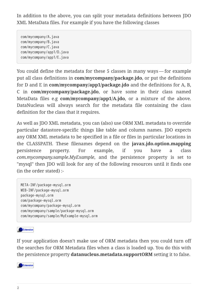In addition to the above, you can split your metadata definitions between JDO XML MetaData files. For example if you have the following classes

com/mycompany/A.java com/mycompany/B.java com/mycompany/C.java com/mycompany/app1/D.java com/mycompany/app1/E.java

You could define the metadata for these 5 classes in many ways — for example put all class definitions in **com/mycompany/package.jdo**, or put the definitions for D and E in **com/mycompany/app1/package.jdo** and the definitions for A, B, C in **com/mycompany/package.jdo**, or have some in their class named MetaData files e.g **com/mycompany/app1/A.jdo**, or a mixture of the above. DataNucleus will always search for the metadata file containing the class definition for the class that it requires.

As well as JDO XML metadata, you can (also) use ORM XML metadata to override particular datastore-specific things like table and column names. JDO expects any ORM XML metadata to be specified in a file or files in particular locations in the CLASSPATH. These filenames depend on the **javax.jdo.option.mapping** persistence property. For example, if you have a class *com.mycompany.sample.MyExample*, and the persistence property is set to "mysql" then JDO will look for any of the following resources until it finds one (in the order stated) :-

```
META-INF/package-mysql.orm
WEB-INF/package-mysql.orm
package-mysql.orm
com/package-mysql.orm
com/mycompany/package-mysql.orm
com/mycompany/sample/package-mysql.orm
com/mycompany/sample/MyExample-mysql.orm
```
Extension

If your application doesn't make use of ORM metadata then you could turn off the searches for ORM Metadata files when a class is loaded up. You do this with the persistence property **datanucleus.metadata.supportORM** setting it to false.

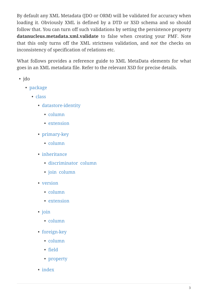By default any XML Metadata (JDO or ORM) will be validated for accuracy when loading it. Obviously XML is defined by a DTD or XSD schema and so should follow that. You can turn off such validations by setting the persistence property **datanucleus.metadata.xml.validate** to false when creating your PMF. Note that this only turns off the XML strictness validation, and *not* the checks on inconsistency of specification of relations etc.

What follows provides a reference guide to XML MetaData elements for what goes in an XML metadata file. Refer to the relevant XSD for precise details.

- jdo
	- [package](#package)
		- [class](#class)
			- [datastore-identity](#datastore-identity)
				- [column](#column)
				- [extension](#datastoreidentityextension)
			- [primary-key](#primary-key)
				- [column](#column)
			- [inheritance](#inheritance)
				- [discriminator](#discriminator) [column](#column)
				- [join](#join) [column](#column)
			- [version](#version)
				- [column](#column)
				- [extension](#versionextension)
			- [join](#join)
				- [column](#column)
			- [foreign-key](#foreignkey)
				- [column](#column)
				- [field](#field)
				- [property](#property)
			- [index](#index)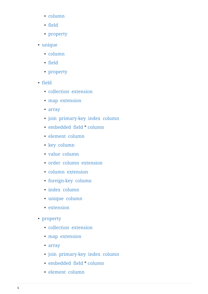- [column](#column)
- [field](#field)
- [property](#property)
- [unique](#unique)
	- [column](#column)
	- [field](#field)
	- [property](#property)
- [field](#field)
	- [collection](#collection) [extension](#collectionextension)
	- [map](#map) [extension](#mapextension)
	- [array](#array)
	- [join](#join) [primary-key](#primary-key) [index](#index) [column](#column)
	- [embedded](#embedded) [field](#field) \* [column](#column)
	- [element](#element) [column](#column)
	- [key](#key) [column](#column)
	- [value](#value) [column](#column)
	- [order](#order) [column](#column) [extension](#orderextension)
	- [column](#column) [extension](#columnextension)
	- [foreign-key](#foreignkey) [column](#column)
	- [index](#index) [column](#column)
	- [unique](#unique) [column](#column)
	- [extension](#fieldextension)
- [property](#property)
	- [collection](#collection) [extension](#collectionextension)
	- [map](#map) [extension](#mapextension)
	- [array](#array)
	- [join](#join) [primary-key](#primary-key) [index](#index) [column](#column)
	- [embedded](#embedded) [field](#field) \* [column](#column)
	- [element](#element) [column](#column)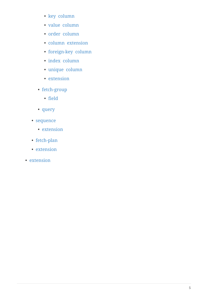- [key](#key) [column](#column)
- [value](#value) [column](#column)
- [order](#order) [column](#column)
- [column](#column) [extension](#columnextension)
- [foreign-key](#foreignkey) [column](#column)
- [index](#index) [column](#column)
- [unique](#unique) [column](#column)
- [extension](#propertyextension)
- [fetch-group](#fetch-group)
	- [field](#field)
- [query](#query)
- [sequence](#sequence)
	- [extension](#sequenceextension)
- [fetch-plan](#fetch-plan)
- [extension](#classextension)
- [extension](#extension)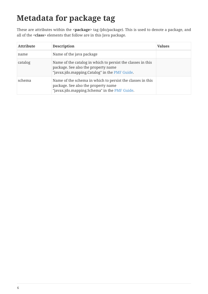# <span id="page-7-0"></span>**Metadata for package tag**

These are attributes within the **<package>** tag (jdo/package). This is used to denote a package, and all of the **<class>** elements that follow are in this Java package.

| <b>Attribute</b> | <b>Description</b>                                                                                                                                  | <b>Values</b> |
|------------------|-----------------------------------------------------------------------------------------------------------------------------------------------------|---------------|
| name             | Name of the java package                                                                                                                            |               |
| catalog          | Name of the catalog in which to persist the classes in this<br>package. See also the property name<br>"javax.jdo.mapping.Catalog" in the PMF Guide. |               |
| schema           | Name of the schema in which to persist the classes in this<br>package. See also the property name<br>"javax.jdo.mapping.Schema" in the PMF Guide.   |               |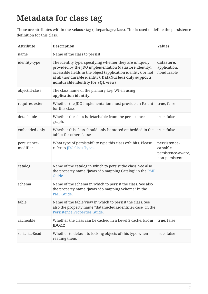#### <span id="page-8-0"></span>**Metadata for class tag**

These are attributes within the **<class>** tag (jdo/package/class). This is used to define the persistence definition for this class.

| <b>Attribute</b>         | <b>Description</b>                                                                                                                                                                                                                                                                     | <b>Values</b>                                                    |
|--------------------------|----------------------------------------------------------------------------------------------------------------------------------------------------------------------------------------------------------------------------------------------------------------------------------------|------------------------------------------------------------------|
| name                     | Name of the class to persist                                                                                                                                                                                                                                                           |                                                                  |
| identity-type            | The identity type, specifying whether they are uniquely<br>provided by the JDO implementation (datastore identity),<br>accessible fields in the object (application identity), or not<br>at all (nondurable identity). DataNucleus only supports<br>nondurable identity for SQL views. | datastore,<br>application,<br>nondurable                         |
| objectid-class           | The class name of the primary key. When using<br>application identity.                                                                                                                                                                                                                 |                                                                  |
| requires-extent          | Whether the JDO implementation must provide an Extent<br>for this class.                                                                                                                                                                                                               | true, false                                                      |
| detachable               | Whether the class is detachable from the persistence<br>graph.                                                                                                                                                                                                                         | true, false                                                      |
| embedded-only            | Whether this class should only be stored embedded in the<br>tables for other classes.                                                                                                                                                                                                  | true, false                                                      |
| persistence-<br>modifier | What type of persistability type this class exhibits. Please<br>refer to JDO Class Types.                                                                                                                                                                                              | persistence-<br>capable,<br>persistence-aware,<br>non-persistent |
| catalog                  | Name of the catalog in which to persist the class. See also<br>the property name "javax.jdo.mapping.Catalog" in the PMF<br>Guide.                                                                                                                                                      |                                                                  |
| schema                   | Name of the schema in which to persist the class. See also<br>the property name "javax.jdo.mapping.Schema" in the<br><b>PMF Guide.</b>                                                                                                                                                 |                                                                  |
| table                    | Name of the table/view in which to persist the class. See<br>also the property name "datanucleus.identifier.case" in the<br>Persistence Properties Guide.                                                                                                                              |                                                                  |
| cacheable                | Whether the class can be cached in a Level 2 cache. From<br>JDO2.2                                                                                                                                                                                                                     | true, false                                                      |
| serializeRead            | Whether to default to locking objects of this type when<br>reading them.                                                                                                                                                                                                               | true, false                                                      |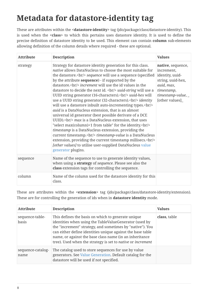# <span id="page-9-0"></span>**Metadata for datastore-identity tag**

These are attributes within the **<datastore-identity>** tag (jdo/package/class/datastore-identity). This is used when the **<class>** to which this pertains uses datastore identity. It is used to define the precise definition of datastore identity to be used. This element can contain **column** sub-elements allowing definition of the column details where required - these are optional.

| <b>Attribute</b> | <b>Description</b>                                                                                                                                                                                                                                              | <b>Values</b>                                                                                                                                   |
|------------------|-----------------------------------------------------------------------------------------------------------------------------------------------------------------------------------------------------------------------------------------------------------------|-------------------------------------------------------------------------------------------------------------------------------------------------|
| strategy         | Strategy for datastore identity generation for this class.<br>native allows DataNucleus to choose the most suitable for<br>the datastore.<br>br/> sequence will use a sequence (specified<br>by the attribute sequence) - if supported by the<br>datastore.<br> | native, sequence,<br>increment,<br>identity, uuid-<br>string, uuid-hex,<br>auid, max,<br>timestamp,<br>timestamp-value, $\_$<br>[other values]_ |
| sequence         | Name of the sequence to use to generate identity values,<br>when using a strategy of sequence. Please see also the<br>class extension tags for controlling the sequence.                                                                                        |                                                                                                                                                 |
| column           | Name of the column used for the datastore identity for this<br>class.                                                                                                                                                                                           |                                                                                                                                                 |

These are attributes within the **<extension>** tag (jdo/package/class/datastore-identity/extension). These are for controlling the generation of ids when in **datastore identity** mode.

| <b>Attribute</b>          | <b>Description</b>                                                                                                                                                                                                                                                                                                                                                | <b>Values</b> |
|---------------------------|-------------------------------------------------------------------------------------------------------------------------------------------------------------------------------------------------------------------------------------------------------------------------------------------------------------------------------------------------------------------|---------------|
| sequence-table-<br>basis  | This defines the basis on which to generate unique<br>identities when using the TableValueGenerator (used by<br>the "increment" strategy, and sometimes by "native"). You<br>can either define identities unique against the base table<br>name, or against the base class name (in an inheritance<br>tree). Used when the strategy is set to native or increment | class, table  |
| sequence-catalog-<br>name | The catalog used to store sequences for use by value<br>generators. See Value Generation. Default catalog for the<br>datastore will be used if not specified.                                                                                                                                                                                                     |               |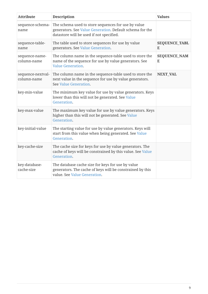| <b>Attribute</b>                 | <b>Description</b>                                                                                                                                          | <b>Values</b>             |
|----------------------------------|-------------------------------------------------------------------------------------------------------------------------------------------------------------|---------------------------|
| sequence-schema-<br>name         | The schema used to store sequences for use by value<br>generators. See Value Generation. Default schema for the<br>datastore will be used if not specified. |                           |
| sequence-table-<br>name          | The table used to store sequences for use by value<br>generators. See Value Generation.                                                                     | <b>SEQUENCE_TABL</b><br>E |
| sequence-name-<br>column-name    | The column name in the sequence-table used to store the<br>name of the sequence for use by value generators. See<br><b>Value Generation.</b>                | <b>SEQUENCE_NAM</b><br>E  |
| sequence-nextval-<br>column-name | The column name in the sequence-table used to store the<br>next value in the sequence for use by value generators.<br>See Value Generation.                 | <b>NEXT_VAL</b>           |
| key-min-value                    | The minimum key value for use by value generators. Keys<br>lower than this will not be generated. See Value<br>Generation.                                  |                           |
| key-max-value                    | The maximum key value for use by value generators. Keys<br>higher than this will not be generated. See Value<br>Generation.                                 |                           |
| key-initial-value                | The starting value for use by value generators. Keys will<br>start from this value when being generated. See Value<br>Generation.                           |                           |
| key-cache-size                   | The cache size for keys for use by value generators. The<br>cache of keys will be constrained by this value. See Value<br>Generation.                       |                           |
| key-database-<br>cache-size      | The database cache size for keys for use by value<br>generators. The cache of keys will be constrained by this<br>value. See Value Generation.              |                           |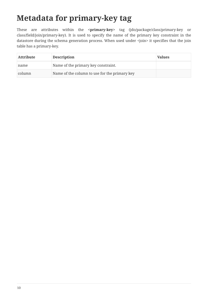## <span id="page-11-0"></span>**Metadata for primary-key tag**

These are attributes within the **<primary-key>** tag (jdo/package/class/primary-key or class/field/join/primary-key). It is used to specify the name of the primary key constraint in the datastore during the schema generation process. When used under <join> it specifies that the join table has a primary-key.

| <b>Attribute</b> | <b>Description</b>                            | <b>Values</b> |
|------------------|-----------------------------------------------|---------------|
| name             | Name of the primary key constraint.           |               |
| column           | Name of the column to use for the primary key |               |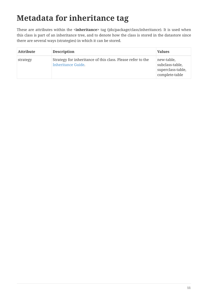# <span id="page-12-0"></span>**Metadata for inheritance tag**

These are attributes within the **<inheritance>** tag (jdo/package/class/inheritance). It is used when this class is part of an inheritance tree, and to denote how the class is stored in the datastore since there are several ways (strategies) in which it can be stored.

| <b>Attribute</b> | <b>Description</b>                                                                       | <b>Values</b>                                                        |
|------------------|------------------------------------------------------------------------------------------|----------------------------------------------------------------------|
| strategy         | Strategy for inheritance of this class. Please refer to the<br><b>Inheritance Guide.</b> | new-table,<br>subclass-table,<br>superclass-table,<br>complete-table |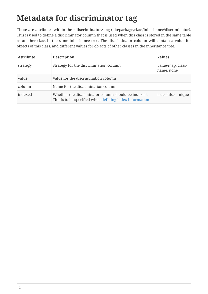## <span id="page-13-0"></span>**Metadata for discriminator tag**

These are attributes within the **<discriminator>** tag (jdo/package/class/inheritance/discriminator). This is used to define a discriminator column that is used when this class is stored in the same table as another class in the same inheritance tree. The discriminator column will contain a value for objects of this class, and different values for objects of other classes in the inheritance tree.

| <b>Attribute</b> | <b>Description</b>                                                                                             | <b>Values</b>                   |
|------------------|----------------------------------------------------------------------------------------------------------------|---------------------------------|
| strategy         | Strategy for the discrimination column                                                                         | value-map, class-<br>name, none |
| value            | Value for the discrimination column                                                                            |                                 |
| column           | Name for the discrimination column                                                                             |                                 |
| indexed          | Whether the discriminator column should be indexed.<br>This is to be specified when defining index information | true, false, unique             |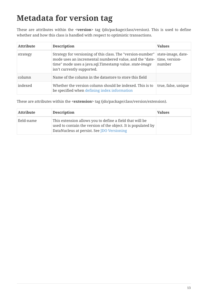## <span id="page-14-0"></span>**Metadata for version tag**

These are attributes within the **<version>** tag (jdo/package/class/version). This is used to define whether and how this class is handled with respect to optimistic transactions.

| <b>Attribute</b> | <b>Description</b>                                                                                                                                                                                              | <b>Values</b>                                  |
|------------------|-----------------------------------------------------------------------------------------------------------------------------------------------------------------------------------------------------------------|------------------------------------------------|
| strategy         | Strategy for versioning of this class. The "version-number"<br>mode uses an incremental numbered value, and the "date-<br>time" mode uses a java.sql.Timestamp value. state-image<br>isn't currently supported. | state-image, date-<br>time, version-<br>number |
| column           | Name of the column in the datastore to store this field                                                                                                                                                         |                                                |
| indexed          | Whether the version column should be indexed. This is to<br>be specified when defining index information                                                                                                        | true, false, unique                            |

These are attributes within the **<extension>** tag (jdo/package/class/version/extension).

| <b>Attribute</b> | <b>Description</b>                                                                                                                                                      | <b>Values</b> |
|------------------|-------------------------------------------------------------------------------------------------------------------------------------------------------------------------|---------------|
| field-name       | This extension allows you to define a field that will be<br>used to contain the version of the object. It is populated by<br>DataNucleus at persist. See JDO Versioning |               |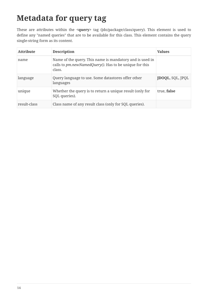## <span id="page-15-0"></span>**Metadata for query tag**

These are attributes within the **<query>** tag (jdo/package/class/query). This element is used to define any "named queries" that are to be available for this class. This element contains the query single-string form as its content.

| <b>Attribute</b> | <b>Description</b>                                                                                                           | <b>Values</b>           |
|------------------|------------------------------------------------------------------------------------------------------------------------------|-------------------------|
| name             | Name of the query. This name is mandatory and is used in<br>calls to pm.newNamedQuery(). Has to be unique for this<br>class. |                         |
| language         | Query language to use. Some datastores offer other<br>languages                                                              | <b>JDOQL, SQL, JPQL</b> |
| unique           | Whether the query is to return a unique result (only for<br>SQL queries).                                                    | true, false             |
| result-class     | Class name of any result class (only for SQL queries).                                                                       |                         |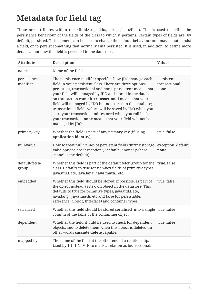## <span id="page-16-0"></span>**Metadata for field tag**

These are attributes within the **<field>** tag (jdo/package/class/field). This is used to define the persistence behaviour of the fields of the class to which it pertains. Certain types of fields are, by default, persisted. This element can be used to change the default behaviour and maybe not persist a field, or to persist something that normally isn't persisted. It is used, in addition, to define more details about how the field is persisted in the datastore.

| <b>Attribute</b>         | <b>Description</b>                                                                                                                                                                                                                                                                                                                                                                                                                                                                                                                                                      | <b>Values</b>                         |
|--------------------------|-------------------------------------------------------------------------------------------------------------------------------------------------------------------------------------------------------------------------------------------------------------------------------------------------------------------------------------------------------------------------------------------------------------------------------------------------------------------------------------------------------------------------------------------------------------------------|---------------------------------------|
| name                     | Name of the field.                                                                                                                                                                                                                                                                                                                                                                                                                                                                                                                                                      |                                       |
| persistence-<br>modifier | The persistence-modifier specifies how JDO manage each<br>field in your persistent class. There are three options:<br>persistent, transactional and none. persistent means that<br>your field will managed by JDO and stored in the database<br>on transaction commit. transactional means that your<br>field will managed by JDO but not stored in the database;<br>transactional fields values will be saved by JDO when you<br>start your transaction and restored when you roll back<br>your transaction. none means that your field will not be<br>managed by JDO. | persistent,<br>transactional,<br>none |
| primary-key              | Whether the field is part of any primary key (if using<br>application identity).                                                                                                                                                                                                                                                                                                                                                                                                                                                                                        | true, false                           |
| null-value               | How to treat null values of persistent fields during storage.<br>Valid options are "exception", "default", "none" (where<br>"none" is the default).                                                                                                                                                                                                                                                                                                                                                                                                                     | exception, default,<br>none           |
| default-fetch-<br>group  | Whether this field is part of the default fetch group for the<br>class. Defaults to true for non-key fields of primitive types,<br>java.util.Date, java.lang., java.math., etc.                                                                                                                                                                                                                                                                                                                                                                                         | true, false                           |
| embedded                 | Whether this field should be stored, if possible, as part of<br>the object instead as its own object in the datastore. This<br>defaults to true for primitive types, java.util.Date,<br>java.lang., java.math. etc and false for persistable,<br>reference (Object, Interface) and container types.                                                                                                                                                                                                                                                                     | true, false                           |
| serialized               | Whether this field should be stored serialised into a single true, false<br>column of the table of the containing object.                                                                                                                                                                                                                                                                                                                                                                                                                                               |                                       |
| dependent                | Whether the field should be used to check for dependent<br>objects, and to delete them when this object is deleted. In<br>other words cascade delete capable.                                                                                                                                                                                                                                                                                                                                                                                                           | true, false                           |
| mapped-by                | The name of the field at the other end of a relationship.<br>Used by 1-1, 1-N, M-N to mark a relation as bidirectional.                                                                                                                                                                                                                                                                                                                                                                                                                                                 |                                       |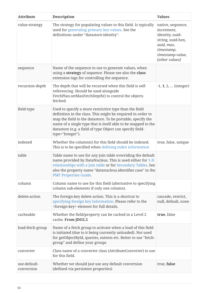| <b>Attribute</b>           | <b>Description</b>                                                                                                                                                                                                                                                                                                                     | <b>Values</b>                                                                                                                             |
|----------------------------|----------------------------------------------------------------------------------------------------------------------------------------------------------------------------------------------------------------------------------------------------------------------------------------------------------------------------------------|-------------------------------------------------------------------------------------------------------------------------------------------|
| value-strategy             | The strategy for populating values to this field. Is typically<br>used for generating primary key values. See the<br>definitions under "datastore-identity".                                                                                                                                                                           | native, sequence,<br>increment,<br>identity, uuid-<br>string, uuid-hex,<br>auid, max,<br>timestamp,<br>timestamp-value,<br>[other values] |
| sequence                   | Name of the sequence to use to generate values, when<br>using a strategy of sequence. Please see also the class<br>extension tags for controlling the sequence.                                                                                                                                                                        |                                                                                                                                           |
| recursion-depth            | The depth that will be recursed when this field is self-<br>referencing. Should be used alongside<br>FetchPlan.setMaxFetchDepth() to control the objects<br>fetched.                                                                                                                                                                   | $-1, 1, 2, \ldots$ (integer)                                                                                                              |
| field-type                 | Used to specify a more restrictive type than the field<br>definition in the class. This might be required in order to<br>map the field to the datastore. To be portable, specify the<br>name of a single type that is itself able to be mapped to the<br>datastore (e.g. a field of type Object can specify field-<br>type="Integer"). |                                                                                                                                           |
| indexed                    | Whether the column(s) for this field should be indexed.<br>This is to be specified when defining index information                                                                                                                                                                                                                     | true, false, unique                                                                                                                       |
| table                      | Table name to use for any join table overriding the default<br>name provided by DataNucleus. This is used either for 1-N<br>relationships with a join table or for Secondary Tables. See<br>also the property name "datanucleus.identifier.case" in the<br><b>PMF Properties Guide.</b>                                                |                                                                                                                                           |
| column                     | Column name to use for this field (alternative to specifying<br>column sub-elements if only one column).                                                                                                                                                                                                                               |                                                                                                                                           |
| delete-action              | The foreign-key delete action. This is a shortcut to<br>specifying foreign key information. Please refer to the<br><foreign-key> element for full details.</foreign-key>                                                                                                                                                               | cascade, restrict,<br>null, default, none                                                                                                 |
| cacheable                  | Whether the field/property can be cached in a Level 2<br>cache. From JDO2.2                                                                                                                                                                                                                                                            | true, false                                                                                                                               |
| load-fetch-group           | Name of a fetch group to activate when a load of this field<br>is initiated (due to it being currently unloaded). Not used<br>for getObjectById, queries, extents etc. Better to use "fetch-<br>group" and define your groups                                                                                                          |                                                                                                                                           |
| converter                  | Class name of a converter class (AttributeConverter) to use<br>for this field.                                                                                                                                                                                                                                                         |                                                                                                                                           |
| use-default-<br>conversion | Whether we should just use any default conversion<br>(defined via persistent properties)                                                                                                                                                                                                                                               | true, false                                                                                                                               |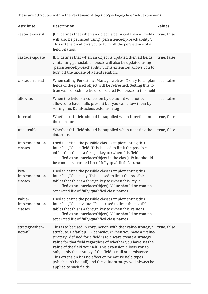| <b>Attribute</b>                     | <b>Description</b>                                                                                                                                                                                                                                                                                                                                                                                                                                                                                                                      | <b>Values</b> |
|--------------------------------------|-----------------------------------------------------------------------------------------------------------------------------------------------------------------------------------------------------------------------------------------------------------------------------------------------------------------------------------------------------------------------------------------------------------------------------------------------------------------------------------------------------------------------------------------|---------------|
| cascade-persist                      | JDO defines that when an object is persisted then all fields<br>will also be persisted using "persistence-by-reachability".<br>This extension allows you to turn off the persistence of a<br>field relation.                                                                                                                                                                                                                                                                                                                            | true, false   |
| cascade-update                       | JDO defines that when an object is updated then all fields<br>containing persistable objects will also be updated using<br>"persistence-by-reachability". This extension allows you to<br>turn off the update of a field relation.                                                                                                                                                                                                                                                                                                      | true, false   |
| cascade-refresh                      | When calling PersistenceManager.refresh() only fetch plan true, false<br>fields of the passed object will be refreshed. Setting this to<br>true will refresh the fields of related PC objects in this field                                                                                                                                                                                                                                                                                                                             |               |
| allow-nulls                          | When the field is a collection by default it will not be<br>allowed to have nulls present but you can allow them by<br>setting this DataNucleus extension tag                                                                                                                                                                                                                                                                                                                                                                           | true, false   |
| insertable                           | Whether this field should be supplied when inserting into<br>the datastore.                                                                                                                                                                                                                                                                                                                                                                                                                                                             | true, false   |
| updateable                           | Whether this field should be supplied when updating the<br>datastore.                                                                                                                                                                                                                                                                                                                                                                                                                                                                   | true, false   |
| implementation-<br>classes           | Used to define the possible classes implementing this<br>interface/Object field. This is used to limit the possible<br>tables that this is a foreign key to (when this field is<br>specified as an interface/Object in the class). Value should<br>be comma-separated list of fully-qualified class names                                                                                                                                                                                                                               |               |
| key-<br>implementation-<br>classes   | Used to define the possible classes implementing this<br>interface/Object key. This is used to limit the possible<br>tables that this is a foreign key to (when this key is<br>specified as an interface/Object). Value should be comma-<br>separated list of fully-qualified class names                                                                                                                                                                                                                                               |               |
| value-<br>implementation-<br>classes | Used to define the possible classes implementing this<br>interface/Object value. This is used to limit the possible<br>tables that this is a foreign key to (when this value is<br>specified as an interface/Object). Value should be comma-<br>separated list of fully-qualified class names                                                                                                                                                                                                                                           |               |
| strategy-when-<br>notnull            | This is to be used in conjunction with the "value-strategy"<br>attribute. Default JDO2 behaviour when you have a "value-<br>strategy" defined for a field is to always create a strategy<br>value for that field regardless of whether you have set the<br>value of the field yourself. This extension allows you to<br>only apply the strategy if the field is null at persistence.<br>This extension has no effect on primitive field types<br>(which can't be null) and the value-strategy will always be<br>applied to such fields. | true, false   |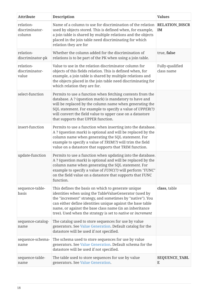| <b>Attribute</b>                      | <b>Description</b>                                                                                                                                                                                                                                                                                                                                                | <b>Values</b>                 |
|---------------------------------------|-------------------------------------------------------------------------------------------------------------------------------------------------------------------------------------------------------------------------------------------------------------------------------------------------------------------------------------------------------------------|-------------------------------|
| relation-<br>discriminator-<br>column | Name of a column to use for discrimination of the relation<br>used by objects stored. This is defined when, for example,<br>a join table is shared by multiple relations and the objects<br>placed in the join table need discriminating for which<br>relation they are for                                                                                       | <b>RELATION_DISCR</b><br>IM   |
| relation-<br>discriminator-pk         | Whether the column added for the discrimination of<br>relations is to be part of the PK when using a join table.                                                                                                                                                                                                                                                  | true, false                   |
| relation-<br>discriminator-<br>value  | Value to use in the relation discriminator column for<br>objects of this fields relation. This is defined when, for<br>example, a join table is shared by multiple relations and<br>the objects placed in the join table need discriminating for<br>which relation they are for.                                                                                  | Fully-qualified<br>class name |
| select-function                       | Permits to use a function when fetching contents from the<br>database. A ? (question mark) is mandatory to have and<br>will be replaced by the column name when generating the<br>SQL statement. For example to specify a value of UPPER(?)<br>will convert the field value to upper case on a datastore<br>that supports that UPPER function.                    |                               |
| insert-function                       | Permits to use a function when inserting into the database.<br>A ? (question mark) is optional and will be replaced by the<br>column name when generating the SQL statement. For<br>example to specify a value of TRIM(?) will trim the field<br>value on a datastore that supports that TRIM function.                                                           |                               |
| update-function                       | Permits to use a function when updating into the database.<br>A ? (question mark) is optional and will be replaced by the<br>column name when generating the SQL statement. For<br>example to specify a value of FUNC(?) will perform "FUNC"<br>on the field value on a datastore that supports that FUNC<br>function.                                            |                               |
| sequence-table-<br>basis              | This defines the basis on which to generate unique<br>identities when using the TableValueGenerator (used by<br>the "increment" strategy, and sometimes by "native"). You<br>can either define identities unique against the base table<br>name, or against the base class name (in an inheritance<br>tree). Used when the strategy is set to native or increment | class, table                  |
| sequence-catalog-<br>name             | The catalog used to store sequences for use by value<br>generators. See Value Generation. Default catalog for the<br>datastore will be used if not specified.                                                                                                                                                                                                     |                               |
| sequence-schema-<br>name              | The schema used to store sequences for use by value<br>generators. See Value Generation. Default schema for the<br>datastore will be used if not specified.                                                                                                                                                                                                       |                               |
| sequence-table-<br>name               | The table used to store sequences for use by value<br>generators. See Value Generation.                                                                                                                                                                                                                                                                           | <b>SEQUENCE_TABL</b><br>E     |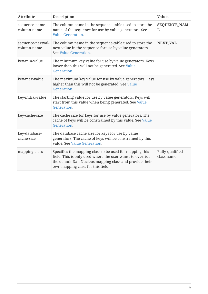| <b>Attribute</b>                 | <b>Description</b>                                                                                                                                                                                                   | <b>Values</b>                 |
|----------------------------------|----------------------------------------------------------------------------------------------------------------------------------------------------------------------------------------------------------------------|-------------------------------|
| sequence-name-<br>column-name    | The column name in the sequence-table used to store the<br>name of the sequence for use by value generators. See<br><b>Value Generation.</b>                                                                         | <b>SEQUENCE_NAM</b><br>E      |
| sequence-nextval-<br>column-name | The column name in the sequence-table used to store the<br>next value in the sequence for use by value generators.<br>See Value Generation.                                                                          | <b>NEXT_VAL</b>               |
| key-min-value                    | The minimum key value for use by value generators. Keys<br>lower than this will not be generated. See Value<br>Generation.                                                                                           |                               |
| key-max-value                    | The maximum key value for use by value generators. Keys<br>higher than this will not be generated. See Value<br>Generation.                                                                                          |                               |
| key-initial-value                | The starting value for use by value generators. Keys will<br>start from this value when being generated. See Value<br>Generation.                                                                                    |                               |
| key-cache-size                   | The cache size for keys for use by value generators. The<br>cache of keys will be constrained by this value. See Value<br>Generation.                                                                                |                               |
| key-database-<br>cache-size      | The database cache size for keys for use by value<br>generators. The cache of keys will be constrained by this<br>value. See Value Generation.                                                                       |                               |
| mapping-class                    | Specifies the mapping class to be used for mapping this<br>field. This is only used where the user wants to override<br>the default DataNucleus mapping class and provide their<br>own mapping class for this field. | Fully-qualified<br>class name |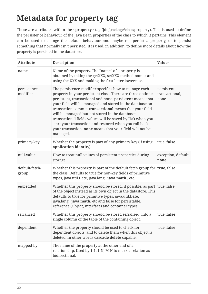# <span id="page-21-0"></span>**Metadata for property tag**

These are attributes within the **<property>** tag (jdo/package/class/property). This is used to define the persistence behaviour of the Java Bean properties of the class to which it pertains. This element can be used to change the default behaviour and maybe not persist a property, or to persist something that normally isn't persisted. It is used, in addition, to define more details about how the property is persisted in the datastore.

| <b>Attribute</b>         | <b>Description</b>                                                                                                                                                                                                                                                                                                                                                                                                                                                                                                                                         | <b>Values</b>                         |
|--------------------------|------------------------------------------------------------------------------------------------------------------------------------------------------------------------------------------------------------------------------------------------------------------------------------------------------------------------------------------------------------------------------------------------------------------------------------------------------------------------------------------------------------------------------------------------------------|---------------------------------------|
| name                     | Name of the property. The "name" of a property is<br>obtained by taking the getXXX, setXXX method names and<br>using the XXX and making the first letter lowercase.                                                                                                                                                                                                                                                                                                                                                                                        |                                       |
| persistence-<br>modifier | The persistence-modifier specifies how to manage each<br>property in your persistent class. There are three options:<br>persistent, transactional and none. persistent means that<br>your field will be managed and stored in the database on<br>transaction commit. transactional means that your field<br>will be managed but not stored in the database;<br>transactional fields values will be saved by JDO when you<br>start your transaction and restored when you roll back<br>your transaction. none means that your field will not be<br>managed. | persistent,<br>transactional,<br>none |
| primary-key              | Whether the property is part of any primary key (if using<br>application identity).                                                                                                                                                                                                                                                                                                                                                                                                                                                                        | true, false                           |
| null-value               | How to treat null values of persistent properties during<br>storage.                                                                                                                                                                                                                                                                                                                                                                                                                                                                                       | exception, default,<br>none           |
| default-fetch-<br>group  | Whether this property is part of the default fetch group for $ $ true, false<br>the class. Defaults to true for non-key fields of primitive<br>types, java.util.Date, java.lang., java.math., etc.                                                                                                                                                                                                                                                                                                                                                         |                                       |
| embedded                 | Whether this property should be stored, if possible, as part true, false<br>of the object instead as its own object in the datastore. This<br>defaults to true for primitive types, java.util.Date,<br>java.lang., java.math. etc and false for persistable,<br>reference (Object, Interface) and container types.                                                                                                                                                                                                                                         |                                       |
| serialized               | Whether this property should be stored serialised into a<br>single column of the table of the containing object.                                                                                                                                                                                                                                                                                                                                                                                                                                           | true, false                           |
| dependent                | Whether the property should be used to check for<br>dependent objects, and to delete them when this object is<br>deleted. In other words cascade delete capable.                                                                                                                                                                                                                                                                                                                                                                                           | true, false                           |
| mapped-by                | The name of the property at the other end of a<br>relationship. Used by 1-1, 1-N, M-N to mark a relation as<br>bidirectional.                                                                                                                                                                                                                                                                                                                                                                                                                              |                                       |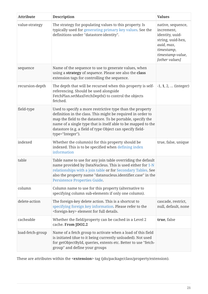| <b>Attribute</b> | <b>Description</b>                                                                                                                                                                                                                                                                                                                        | <b>Values</b>                                                                                                                             |
|------------------|-------------------------------------------------------------------------------------------------------------------------------------------------------------------------------------------------------------------------------------------------------------------------------------------------------------------------------------------|-------------------------------------------------------------------------------------------------------------------------------------------|
| value-strategy   | The strategy for populating values to this property. Is<br>typically used for generating primary key values. See the<br>definitions under "datastore-identity".                                                                                                                                                                           | native, sequence,<br>increment,<br>identity, uuid-<br>string, uuid-hex,<br>auid, max,<br>timestamp,<br>timestamp-value,<br>[other values] |
| sequence         | Name of the sequence to use to generate values, when<br>using a strategy of sequence. Please see also the class<br>extension tags for controlling the sequence.                                                                                                                                                                           |                                                                                                                                           |
| recursion-depth  | The depth that will be recursed when this property is self-<br>referencing. Should be used alongside<br>FetchPlan.setMaxFetchDepth() to control the objects<br>fetched.                                                                                                                                                                   | $-1, 1, 2, $ (integer)                                                                                                                    |
| field-type       | Used to specify a more restrictive type than the property<br>definition in the class. This might be required in order to<br>map the field to the datastore. To be portable, specify the<br>name of a single type that is itself able to be mapped to the<br>datastore (e.g. a field of type Object can specify field-<br>type="Integer"). |                                                                                                                                           |
| indexed          | Whether the column(s) for this property should be<br>indexed. This is to be specified when defining index<br>information                                                                                                                                                                                                                  | true, false, unique                                                                                                                       |
| table            | Table name to use for any join table overriding the default<br>name provided by DataNucleus. This is used either for 1-N<br>relationships with a join table or for Secondary Tables. See<br>also the property name "datanucleus.identifier.case" in the<br>Persistence Properties Guide.                                                  |                                                                                                                                           |
| column           | Column name to use for this property (alternative to<br>specifying column sub-elements if only one column).                                                                                                                                                                                                                               |                                                                                                                                           |
| delete-action    | The foreign-key delete action. This is a shortcut to<br>specifying foreign key information. Please refer to the<br><foreign-key> element for full details.</foreign-key>                                                                                                                                                                  | cascade, restrict,<br>null, default, none                                                                                                 |
| cacheable        | Whether the field/property can be cached in a Level 2<br>cache. From JDO2.2                                                                                                                                                                                                                                                               | true, false                                                                                                                               |
| load-fetch-group | Name of a fetch group to activate when a load of this field<br>is initiated (due to it being currently unloaded). Not used<br>for getObjectById, queries, extents etc. Better to use "fetch-<br>group" and define your groups                                                                                                             |                                                                                                                                           |

These are attributes within the **<extension>** tag (jdo/package/class/property/extension).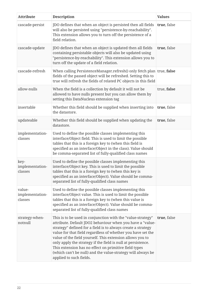| <b>Attribute</b>                     | <b>Description</b>                                                                                                                                                                                                                                                                                                                                                                                                                                                                                                                      | <b>Values</b> |
|--------------------------------------|-----------------------------------------------------------------------------------------------------------------------------------------------------------------------------------------------------------------------------------------------------------------------------------------------------------------------------------------------------------------------------------------------------------------------------------------------------------------------------------------------------------------------------------------|---------------|
| cascade-persist                      | JDO defines that when an object is persisted then all fields<br>will also be persisted using "persistence-by-reachability".<br>This extension allows you to turn off the persistence of a<br>field relation.                                                                                                                                                                                                                                                                                                                            | true, false   |
| cascade-update                       | JDO defines that when an object is updated then all fields<br>containing persistable objects will also be updated using<br>"persistence-by-reachability". This extension allows you to<br>turn off the update of a field relation.                                                                                                                                                                                                                                                                                                      | true, false   |
| cascade-refresh                      | When calling PersistenceManager.refresh() only fetch plan true, false<br>fields of the passed object will be refreshed. Setting this to<br>true will refresh the fields of related PC objects in this field                                                                                                                                                                                                                                                                                                                             |               |
| allow-nulls                          | When the field is a collection by default it will not be<br>allowed to have nulls present but you can allow them by<br>setting this DataNucleus extension tag                                                                                                                                                                                                                                                                                                                                                                           | true, false   |
| insertable                           | Whether this field should be supplied when inserting into<br>the datastore.                                                                                                                                                                                                                                                                                                                                                                                                                                                             | true, false   |
| updateable                           | Whether this field should be supplied when updating the<br>datastore.                                                                                                                                                                                                                                                                                                                                                                                                                                                                   | true, false   |
| implementation-<br>classes           | Used to define the possible classes implementing this<br>interface/Object field. This is used to limit the possible<br>tables that this is a foreign key to (when this field is<br>specified as an interface/Object in the class). Value should<br>be comma-separated list of fully-qualified class names                                                                                                                                                                                                                               |               |
| key-<br>implementation-<br>classes   | Used to define the possible classes implementing this<br>interface/Object key. This is used to limit the possible<br>tables that this is a foreign key to (when this key is<br>specified as an interface/Object). Value should be comma-<br>separated list of fully-qualified class names                                                                                                                                                                                                                                               |               |
| value-<br>implementation-<br>classes | Used to define the possible classes implementing this<br>interface/Object value. This is used to limit the possible<br>tables that this is a foreign key to (when this value is<br>specified as an interface/Object). Value should be comma-<br>separated list of fully-qualified class names                                                                                                                                                                                                                                           |               |
| strategy-when-<br>notnull            | This is to be used in conjunction with the "value-strategy"<br>attribute. Default JDO2 behaviour when you have a "value-<br>strategy" defined for a field is to always create a strategy<br>value for that field regardless of whether you have set the<br>value of the field yourself. This extension allows you to<br>only apply the strategy if the field is null at persistence.<br>This extension has no effect on primitive field types<br>(which can't be null) and the value-strategy will always be<br>applied to such fields. | true, false   |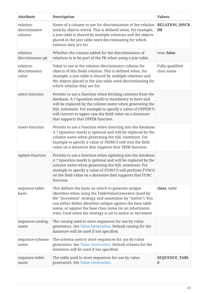| <b>Attribute</b>                      | <b>Description</b>                                                                                                                                                                                                                                                                                                                                                | <b>Values</b>                 |
|---------------------------------------|-------------------------------------------------------------------------------------------------------------------------------------------------------------------------------------------------------------------------------------------------------------------------------------------------------------------------------------------------------------------|-------------------------------|
| relation-<br>discriminator-<br>column | Name of a column to use for discrimination of the relation<br>used by objects stored. This is defined when, for example,<br>a join table is shared by multiple relations and the objects<br>placed in the join table need discriminating for which<br>relation they are for                                                                                       | <b>RELATION_DISCR</b><br>IM   |
| relation-<br>discriminator-pk         | Whether the column added for the discrimination of<br>relations is to be part of the PK when using a join table.                                                                                                                                                                                                                                                  | true, false                   |
| relation-<br>discriminator-<br>value  | Value to use in the relation discriminator column for<br>objects of this fields relation. This is defined when, for<br>example, a join table is shared by multiple relations and<br>the objects placed in the join table need discriminating for<br>which relation they are for.                                                                                  | Fully-qualified<br>class name |
| select-function                       | Permits to use a function when fetching contents from the<br>database. A ? (question mark) is mandatory to have and<br>will be replaced by the column name when generating the<br>SQL statement. For example to specify a value of UPPER(?)<br>will convert to upper case the field value on a datastore<br>that supports that UPPER function.                    |                               |
| insert-function                       | Permits to use a function when inserting into the database.<br>A ? (question mark) is optional and will be replaced by the<br>column name when generating the SQL statement. For<br>example to specify a value of TRIM(?) will trim the field<br>value on a datastore that supports that TRIM function.                                                           |                               |
| update-function                       | Permits to use a function when updating into the database.<br>A ? (question mark) is optional and will be replaced by the<br>column name when generating the SQL statement. For<br>example to specify a value of FUNC(?) will perform FUNC()<br>on the field value on a datastore that supports that FUNC<br>function.                                            |                               |
| sequence-table-<br>basis              | This defines the basis on which to generate unique<br>identities when using the TableValueGenerator (used by<br>the "increment" strategy, and sometimes by "native"). You<br>can either define identities unique against the base table<br>name, or against the base class name (in an inheritance<br>tree). Used when the strategy is set to native or increment | class, table                  |
| sequence-catalog-<br>name             | The catalog used to store sequences for use by value<br>generators. See Value Generation. Default catalog for the<br>datastore will be used if not specified.                                                                                                                                                                                                     |                               |
| sequence-schema-<br>name              | The schema used to store sequences for use by value<br>generators. See Value Generation. Default schema for the<br>datastore will be used if not specified.                                                                                                                                                                                                       |                               |
| sequence-table-<br>name               | The table used to store sequences for use by value<br>generators. See Value Generation.                                                                                                                                                                                                                                                                           | <b>SEQUENCE_TABL</b><br>E     |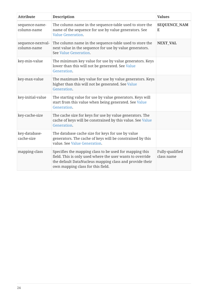| <b>Attribute</b>                 | <b>Description</b>                                                                                                                                                                                                   | <b>Values</b>                 |
|----------------------------------|----------------------------------------------------------------------------------------------------------------------------------------------------------------------------------------------------------------------|-------------------------------|
| sequence-name-<br>column-name    | The column name in the sequence-table used to store the<br>name of the sequence for use by value generators. See<br><b>Value Generation.</b>                                                                         | <b>SEQUENCE_NAM</b><br>E      |
| sequence-nextval-<br>column-name | The column name in the sequence-table used to store the<br>next value in the sequence for use by value generators.<br>See Value Generation.                                                                          | <b>NEXT_VAL</b>               |
| key-min-value                    | The minimum key value for use by value generators. Keys<br>lower than this will not be generated. See Value<br>Generation.                                                                                           |                               |
| key-max-value                    | The maximum key value for use by value generators. Keys<br>higher than this will not be generated. See Value<br>Generation.                                                                                          |                               |
| key-initial-value                | The starting value for use by value generators. Keys will<br>start from this value when being generated. See Value<br>Generation.                                                                                    |                               |
| key-cache-size                   | The cache size for keys for use by value generators. The<br>cache of keys will be constrained by this value. See Value<br>Generation.                                                                                |                               |
| key-database-<br>cache-size      | The database cache size for keys for use by value<br>generators. The cache of keys will be constrained by this<br>value. See Value Generation.                                                                       |                               |
| mapping-class                    | Specifies the mapping class to be used for mapping this<br>field. This is only used where the user wants to override<br>the default DataNucleus mapping class and provide their<br>own mapping class for this field. | Fully-qualified<br>class name |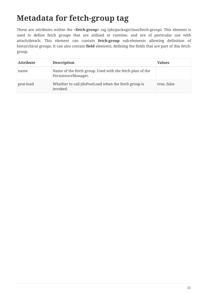## <span id="page-26-0"></span>**Metadata for fetch-group tag**

These are attributes within the **<fetch-group>** tag (jdo/package/class/fetch-group). This element is used to define fetch groups that are utilised at runtime, and are of particular use with attach/detach. This element can contain **fetch-group** sub-elements allowing definition of hierarchical groups. It can also contain **field** elements, defining the fields that are part of this fetchgroup.

| <b>Attribute</b> | <b>Description</b>                                                              | <b>Values</b> |
|------------------|---------------------------------------------------------------------------------|---------------|
| name             | Name of the fetch group. Used with the fetch plan of the<br>PersistenceManager. |               |
| post-load        | Whether to call jdoPostLoad when the fetch group is<br>invoked.                 | true, false   |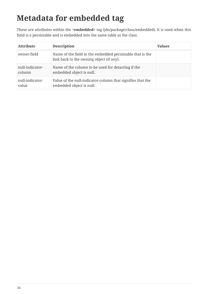## <span id="page-27-0"></span>**Metadata for embedded tag**

These are attributes within the **<embedded>** tag (jdo/package/class/embedded). It is used when this field is a persistable and is embedded into the same table as the class.

| <b>Attribute</b>          | <b>Description</b>                                                                                    | <b>Values</b> |
|---------------------------|-------------------------------------------------------------------------------------------------------|---------------|
| owner-field               | Name of the field in the embedded persistable that is the<br>link back to the owning object (if any). |               |
| null-indicator-<br>column | Name of the column to be used for detacting if the<br>embedded object is null.                        |               |
| null-indicator-<br>value  | Value of the null-indicator-column that signifies that the<br>embedded object is null.                |               |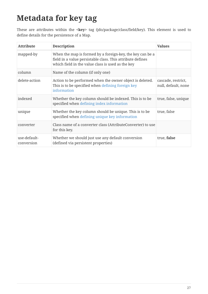## <span id="page-28-0"></span>**Metadata for key tag**

These are attributes within the **<key>** tag (jdo/package/class/field/key). This element is used to define details for the persistence of a Map.

| <b>Attribute</b>           | <b>Description</b>                                                                                                                                                           | <b>Values</b>                             |
|----------------------------|------------------------------------------------------------------------------------------------------------------------------------------------------------------------------|-------------------------------------------|
| mapped-by                  | When the map is formed by a foreign-key, the key can be a<br>field in a value persistable class. This attribute defines<br>which field in the value class is used as the key |                                           |
| column                     | Name of the column (if only one)                                                                                                                                             |                                           |
| delete-action              | Action to be performed when the owner object is deleted.<br>This is to be specified when defining foreign key<br>information                                                 | cascade, restrict,<br>null, default, none |
| indexed                    | Whether the key column should be indexed. This is to be<br>specified when defining index information                                                                         | true, false, unique                       |
| unique                     | Whether the key column should be unique. This is to be<br>specified when defining unique key information                                                                     | true, false                               |
| converter                  | Class name of a converter class (AttributeConverter) to use<br>for this key.                                                                                                 |                                           |
| use-default-<br>conversion | Whether we should just use any default conversion<br>(defined via persistent properties)                                                                                     | true, false                               |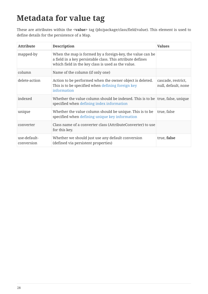## <span id="page-29-0"></span>**Metadata for value tag**

These are attributes within the **<value>** tag (jdo/package/class/field/value). This element is used to define details for the persistence of a Map.

| <b>Attribute</b>           | <b>Description</b>                                                                                                                                                            | <b>Values</b>                             |
|----------------------------|-------------------------------------------------------------------------------------------------------------------------------------------------------------------------------|-------------------------------------------|
| mapped-by                  | When the map is formed by a foreign-key, the value can be<br>a field in a key persistable class. This attribute defines<br>which field in the key class is used as the value. |                                           |
| column                     | Name of the column (if only one)                                                                                                                                              |                                           |
| delete-action              | Action to be performed when the owner object is deleted.<br>This is to be specified when defining foreign key<br>information                                                  | cascade, restrict,<br>null, default, none |
| indexed                    | Whether the value column should be indexed. This is to be true, false, unique<br>specified when defining index information                                                    |                                           |
| unique                     | Whether the value column should be unique. This is to be<br>specified when defining unique key information                                                                    | true, false                               |
| converter                  | Class name of a converter class (AttributeConverter) to use<br>for this key.                                                                                                  |                                           |
| use-default-<br>conversion | Whether we should just use any default conversion<br>(defined via persistent properties)                                                                                      | true, false                               |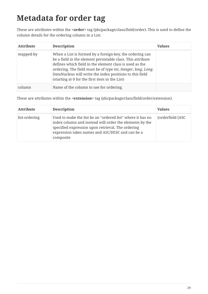## <span id="page-30-0"></span>**Metadata for order tag**

These are attributes within the **<order>** tag (jdo/package/class/field/order). This is used to define the column details for the ordering column in a List.

| <b>Attribute</b> | <b>Description</b>                                                                                                                                                                                                                                                                                                                                                | <b>Values</b> |
|------------------|-------------------------------------------------------------------------------------------------------------------------------------------------------------------------------------------------------------------------------------------------------------------------------------------------------------------------------------------------------------------|---------------|
| mapped-by        | When a List is formed by a foreign-key, the ordering can<br>be a field in the element persistable class. This attribute<br>defines which field in the element class is used as the<br>ordering. The field must be of type int, Integer, long, Long.<br>DataNucleus will write the index positions to this field<br>(starting at 0 for the first item in the List) |               |
|                  | Name of the column to use for ordering.                                                                                                                                                                                                                                                                                                                           |               |

These are attributes within the **<extension>** tag (jdo/package/class/field/order/extension).

| <b>Attribute</b> | <b>Description</b>                                                                                                                                                                                                                          | <b>Values</b>    |
|------------------|---------------------------------------------------------------------------------------------------------------------------------------------------------------------------------------------------------------------------------------------|------------------|
| list-ordering    | Used to make the list be an "ordered list" where it has no<br>index column and instead will order the elements by the<br>specified expression upon retrieval. The ordering<br>expression takes names and ASC/DESC and can be a<br>composite | {orderfield [ASC |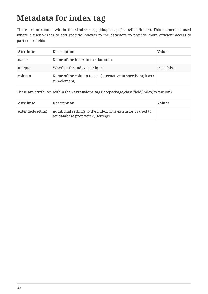#### <span id="page-31-0"></span>**Metadata for index tag**

These are attributes within the **<index>** tag (jdo/package/class/field/index). This element is used where a user wishes to add specific indexes to the datastore to provide more efficient access to particular fields.

| <b>Attribute</b> | <b>Description</b>                                                            | <b>Values</b> |
|------------------|-------------------------------------------------------------------------------|---------------|
| name             | Name of the index in the datastore                                            |               |
| unique           | Whether the index is unique                                                   | true, false   |
| column           | Name of the column to use (alternative to specifying it as a<br>sub-element). |               |

These are attributes within the **<extension>** tag (jdo/package/class/field/index/extension).

| <b>Attribute</b> | <b>Description</b>                                                                                | <b>Values</b> |
|------------------|---------------------------------------------------------------------------------------------------|---------------|
| extended-setting | Additional settings to the index. This extension is used to<br>set database proprietary settings. |               |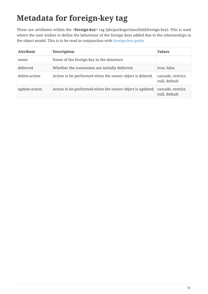# <span id="page-32-0"></span>**Metadata for foreign-key tag**

These are attributes within the **<foreign-key>** tag (jdo/package/class/field/foreign-key). This is used where the user wishes to define the behaviour of the foreign keys added due to the relationships in the object model. This is to be read in conjunction with [foreign-key guide](mapping.html#schema_constraints)

| <b>Attribute</b> | <b>Description</b>                                       | <b>Values</b>                       |
|------------------|----------------------------------------------------------|-------------------------------------|
| name             | Name of the foreign key in the datastore                 |                                     |
| deferred         | Whether the constraints are initially deferred.          | true, false                         |
| delete-action    | Action to be performed when the owner object is deleted. | cascade, restrict,<br>null, default |
| update-action    | Action to be performed when the owner object is updated. | cascade, restrict,<br>null, default |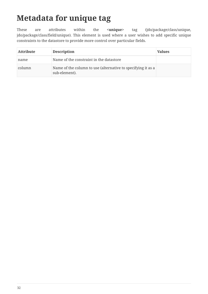#### <span id="page-33-0"></span>**Metadata for unique tag**

These are attributes within the **<unique>** tag (jdo/package/class/unique, jdo/package/class/field/unique). This element is used where a user wishes to add specific unique constraints to the datastore to provide more control over particular fields.

| <b>Attribute</b> | <b>Description</b>                                                            | <b>Values</b> |
|------------------|-------------------------------------------------------------------------------|---------------|
| name             | Name of the constraint in the datastore                                       |               |
| column           | Name of the column to use (alternative to specifying it as a<br>sub-element). |               |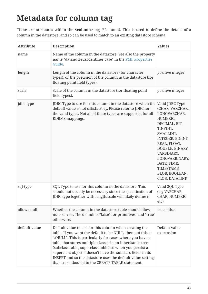## <span id="page-34-0"></span>**Metadata for column tag**

These are attributes within the **<column>** tag (\*/column). This is used to define the details of a column in the datastore, and so can be used to match to an existing datastore schema.

| <b>Attribute</b> | <b>Description</b>                                                                                                                                                                                                                                                                                                                                                                                                                                                                            | <b>Values</b>                                                                                                                                                                                                                                                     |
|------------------|-----------------------------------------------------------------------------------------------------------------------------------------------------------------------------------------------------------------------------------------------------------------------------------------------------------------------------------------------------------------------------------------------------------------------------------------------------------------------------------------------|-------------------------------------------------------------------------------------------------------------------------------------------------------------------------------------------------------------------------------------------------------------------|
| name             | Name of the column in the datastore. See also the property<br>name "datanucleus.identifier.case" in the PMF Properties<br>Guide.                                                                                                                                                                                                                                                                                                                                                              |                                                                                                                                                                                                                                                                   |
| length           | Length of the column in the datastore (for character<br>types), or the precision of the column in the datastore (for<br>floating point field types).                                                                                                                                                                                                                                                                                                                                          | positive integer                                                                                                                                                                                                                                                  |
| scale            | Scale of the column in the datastore (for floating point<br>field types).                                                                                                                                                                                                                                                                                                                                                                                                                     | positive integer                                                                                                                                                                                                                                                  |
| jdbc-type        | JDBC Type to use for this column in the datastore when the<br>default value is not satisfactory. Please refer to JDBC for<br>the valid types. Not all of these types are supported for all<br>RDBMS mappings.                                                                                                                                                                                                                                                                                 | Valid JDBC Type<br>(CHAR, VARCHAR,<br>LONGVARCHAR,<br>NUMERIC,<br>DECIMAL, BIT,<br>TINYINT,<br>SMALLINT,<br>INTEGER, BIGINT,<br>REAL, FLOAT,<br>DOUBLE, BINARY,<br>VARBINARY,<br>LONGVARBINARY,<br>DATE, TIME,<br>TIMESTAMP,<br>BLOB, BOOLEAN,<br>CLOB, DATALINK) |
| sql-type         | SQL Type to use for this column in the datastore. This<br>should not usually be necessary since the specification of<br>JDBC type together with length/scale will likely define it.                                                                                                                                                                                                                                                                                                           | Valid SQL Type<br>(e.g VARCHAR,<br>CHAR, NUMERIC<br>etc)                                                                                                                                                                                                          |
| allows-null      | Whether the column in the datastore table should allow<br>nulls or not. The default is "false" for primitives, and "true"<br>otherwise.                                                                                                                                                                                                                                                                                                                                                       | true, false                                                                                                                                                                                                                                                       |
| default-value    | Default value to use for this column when creating the<br>table. If you want the default to be NULL, then put this as<br>"#NULL". This is particularly for cases where you have a<br>table that stores multiple classes in an inheritance tree<br>(subclass-table, superclass-table) so when you persist a<br>superclass object it doesn't have the subclass fields in its<br>INSERT and so the datastore uses the default-value settings<br>that are embodied in the CREATE TABLE statement. | Default value<br>expression                                                                                                                                                                                                                                       |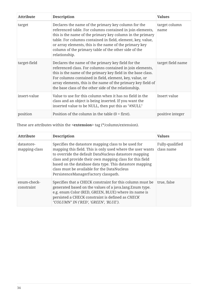| <b>Attribute</b> | <b>Description</b>                                                                                                                                                                                                                                                                                                                                                              | <b>Values</b>         |
|------------------|---------------------------------------------------------------------------------------------------------------------------------------------------------------------------------------------------------------------------------------------------------------------------------------------------------------------------------------------------------------------------------|-----------------------|
| target           | Declares the name of the primary key column for the<br>referenced table. For columns contained in join elements,<br>this is the name of the primary key column in the primary<br>table. For columns contained in field, element, key, value,<br>or array elements, this is the name of the primary key<br>column of the primary table of the other side of the<br>relationship. | target column<br>name |
| target-field     | Declares the name of the primary key field for the<br>referenced class. For columns contained in join elements,<br>this is the name of the primary key field in the base class.<br>For columns contained in field, element, key, value, or<br>array elements, this is the name of the primary key field of<br>the base class of the other side of the relationship.             | target field name     |
| insert-value     | Value to use for this column when it has no field in the<br>class and an object is being inserted. If you want the<br>inserted value to be NULL, then put this as "#NULL"                                                                                                                                                                                                       | Insert value          |
| position         | Position of the column in the table $(0 = first)$ .                                                                                                                                                                                                                                                                                                                             | positive integer      |

These are attributes within the **<extension>** tag (\*/column/extension).

| <b>Attribute</b>            | <b>Description</b>                                                                                                                                                                                                                                                                                                                                                                        | <b>Values</b>                 |
|-----------------------------|-------------------------------------------------------------------------------------------------------------------------------------------------------------------------------------------------------------------------------------------------------------------------------------------------------------------------------------------------------------------------------------------|-------------------------------|
| datastore-<br>mapping-class | Specifies the datastore mapping class to be used for<br>mapping this field. This is only used where the user wants<br>to override the default DataNucleus datastore mapping<br>class and provide their own mapping class for this field<br>based on the database data type. This datastore mapping<br>class must be available for the DataNucleus<br>PersistenceManagerFactory classpath. | Fully-qualified<br>class name |
| enum-check-<br>constraint   | Specifies that a CHECK constraint for this column must be<br>generated based on the values of a java.lang. Enum type.<br>e.g. enum Color (RED, GREEN, BLUE) where its name is<br>persisted a CHECK constraint is defined as CHECK<br>"COLUMN" IN ('RED', 'GREEN', 'BLUE').                                                                                                                | true, false                   |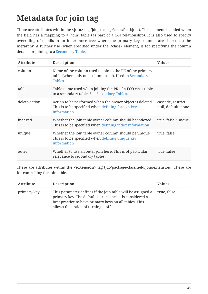## <span id="page-36-0"></span>**Metadata for join tag**

These are attributes within the **<join>** tag (jdo/package/class/field/join). This element is added when the field has a mapping to a "join" table (as part of a 1-N relationship). It is also used to specify overriding of details in an inheritance tree where the primary key columns are shared up the hierarchy. A further use (when specified under the <class> element) is for specifying the column details for joining to a [Secondary Table](mapping.htm;#secondary_tables).

| <b>Attribute</b> | <b>Description</b>                                                                                                           | <b>Values</b>                             |
|------------------|------------------------------------------------------------------------------------------------------------------------------|-------------------------------------------|
| column           | Name of the column used to join to the PK of the primary<br>table (when only one column used). Used in Secondary<br>Tables.  |                                           |
| table            | Table name used when joining the PK of a FCO class table<br>to a secondary table. See Secondary Tables.                      |                                           |
| delete-action    | Action to be performed when the owner object is deleted.<br>This is to be specified when defining foreign key<br>information | cascade, restrict,<br>null, default, none |
| indexed          | Whether the join table owner column should be indexed.<br>This is to be specified when defining index information            | true, false, unique                       |
| unique           | Whether the join table owner column should be unique.<br>This is to be specified when defining unique key<br>information     | true, false                               |
| outer            | Whether to use an outer join here. This is of particular<br>relevance to secondary tables                                    | true, false                               |

These are attributes within the **<extension>** tag (jdo/package/class/field/join/extension). These are for controlling the join table.

| <b>Attribute</b> | <b>Description</b>                                                                                                                                                                                                         | <b>Values</b> |
|------------------|----------------------------------------------------------------------------------------------------------------------------------------------------------------------------------------------------------------------------|---------------|
| primary-key      | This parameter defines if the join table will be assigned a<br>primary key. The default is true since it is considered a<br>best practice to have primary keys on all tables. This<br>allows the option of turning it off. | true, false   |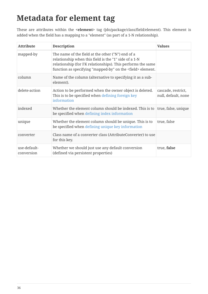#### <span id="page-37-0"></span>**Metadata for element tag**

These are attributes within the **<element>** tag (jdo/package/class/field/element). This element is added when the field has a mapping to a "element" (as part of a 1-N relationship).

| <b>Attribute</b>           | <b>Description</b>                                                                                                                                                                                                                              | <b>Values</b>                             |
|----------------------------|-------------------------------------------------------------------------------------------------------------------------------------------------------------------------------------------------------------------------------------------------|-------------------------------------------|
| mapped-by                  | The name of the field at the other ("N") end of a<br>relationship when this field is the "1" side of a 1-N<br>relationship (for FK relationships). This performs the same<br>function as specifying "mapped-by" on the <field> element.</field> |                                           |
| column                     | Name of the column (alternative to specifying it as a sub-<br>element).                                                                                                                                                                         |                                           |
| delete-action              | Action to be performed when the owner object is deleted.<br>This is to be specified when defining foreign key<br>information                                                                                                                    | cascade, restrict,<br>null, default, none |
| indexed                    | Whether the element column should be indexed. This is to<br>be specified when defining index information                                                                                                                                        | true, false, unique                       |
| unique                     | Whether the element column should be unique. This is to<br>be specified when defining unique key information                                                                                                                                    | true, false                               |
| converter                  | Class name of a converter class (AttributeConverter) to use<br>for this key.                                                                                                                                                                    |                                           |
| use-default-<br>conversion | Whether we should just use any default conversion<br>(defined via persistent properties)                                                                                                                                                        | true, false                               |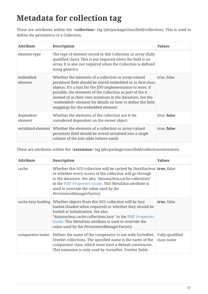## <span id="page-38-0"></span>**Metadata for collection tag**

These are attributes within the **<collection>** tag (jdo/package/class/field/collection). This is used to define the persistence of a Collection.

| <b>Attribute</b>      | <b>Description</b>                                                                                                                                                                                                                                                                                                                                                                                                               | <b>Values</b> |
|-----------------------|----------------------------------------------------------------------------------------------------------------------------------------------------------------------------------------------------------------------------------------------------------------------------------------------------------------------------------------------------------------------------------------------------------------------------------|---------------|
| element-type          | The type of element stored in this Collection or array (fully<br>qualified class). This is not required when the field is an<br>array. It is also not required when the Collection is defined<br>using generics.                                                                                                                                                                                                                 |               |
| embedded-<br>element  | Whether the elements of a collection or array-valued<br>persistent field should be stored embedded or as first-class<br>objects. It's a hint for the JDO implementation to store, if<br>possible, the elements of the collection as part of the it<br>instead of as their own instances in the datastore. See the<br><embedded> element for details on how to define the field<br/>mappings for the embedded element.</embedded> | true, false   |
| dependent-<br>element | Whether the elements of the collection are to be<br>considered dependent on the owner object.                                                                                                                                                                                                                                                                                                                                    | true, false   |
|                       | serialized-element   Whether the elements of a collection or array-valued<br>persistent field should be stored serialised into a single<br>column of the join table (where used).                                                                                                                                                                                                                                                | true, false   |

These are attributes within the **<extension>** tag (jdo/package/class/field/collection/extension).

| <b>Attribute</b> | <b>Description</b>                                                                                                                                                                                                                                                                                                                                      | <b>Values</b>                 |
|------------------|---------------------------------------------------------------------------------------------------------------------------------------------------------------------------------------------------------------------------------------------------------------------------------------------------------------------------------------------------------|-------------------------------|
| cache            | Whether this SCO collection will be cached by DataNucleus true, false<br>or whether every access of the collection will go through<br>to the datastore. See also "datanucleus.cache.collections"<br>in the PMF Properties Guide. This MetaData attribute is<br>used to override the value used by the<br>PersistenceManagerFactory                      |                               |
|                  | cache-lazy-loading Whether objects from this SCO collection will be lazy<br>loaded (loaded when required) or whether they should be<br>loaded at initialisation. See also<br>"datanucleus.cache.collections.lazy" in the PMF Properties<br>Guide. This MetaData attribute is used to override the<br>value used by the <i>PersistenceManagerFactory</i> | true, false                   |
| comparator-name  | Defines the name of the comparator to use with SortedSet,<br>TreeSet collections. The specified name is the name of the<br>comparator class, which must have a default constructor.<br>This extension is only used by SortedSet, TreeSet fields.                                                                                                        | Fully-qualified<br>class name |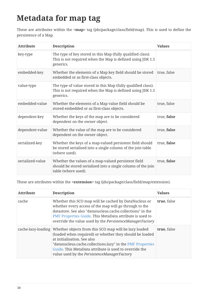## <span id="page-39-0"></span>**Metadata for map tag**

These are attributes within the **<map>** tag (jdo/package/class/field/map). This is used to define the persistence of a Map.

| <b>Attribute</b> | <b>Description</b>                                                                                                                         | <b>Values</b> |
|------------------|--------------------------------------------------------------------------------------------------------------------------------------------|---------------|
| key-type         | The type of key stored in this Map (fully qualified class).<br>This is not required when the Map is defined using JDK 1.5<br>generics.     |               |
| embedded-key     | Whether the elements of a Map key field should be stored<br>embedded or as first-class objects.                                            | true, false   |
| value-type       | The type of value stored in this Map (fully qualified class).<br>This is not required when the Map is defined using JDK 1.5<br>generics.   |               |
| embedded-value   | Whether the elements of a Map value field should be<br>stored embedded or as first-class objects.                                          | true, false   |
| dependent-key    | Whether the keys of the map are to be considered<br>dependent on the owner object.                                                         | true, false   |
| dependent-value  | Whether the value of the map are to be considered<br>dependent on the owner object.                                                        | true, false   |
| serialized-key   | Whether the keys of a map-valued persistent field should<br>be stored serialised into a single column of the join table<br>(where used).   | true, false   |
| serialized-value | Whether the values of a map-valued persistent field<br>should be stored serialised into a single column of the join<br>table (where used). | true, false   |

These are attributes within the **<extension>** tag (jdo/package/class/field/map/extension).

| <b>Attribute</b> | <b>Description</b>                                                                                                                                                                                                                                                                                                                        | <b>Values</b> |
|------------------|-------------------------------------------------------------------------------------------------------------------------------------------------------------------------------------------------------------------------------------------------------------------------------------------------------------------------------------------|---------------|
| cache            | Whether this SCO map will be cached by DataNucleus or<br>whether every access of the map will go through to the<br>datastore. See also "datanucleus.cache.collections" in the<br>PMF Properties Guide. This MetaData attribute is used to<br>override the value used by the PersistenceManagerFactory                                     | true, false   |
|                  | cache-lazy-loading Whether objects from this SCO map will be lazy loaded<br>(loaded when required) or whether they should be loaded<br>at initialisation. See also<br>"datanucleus.cache.collections.lazy" in the PMF Properties<br>Guide. This MetaData attribute is used to override the<br>value used by the PersistenceManagerFactory | true, false   |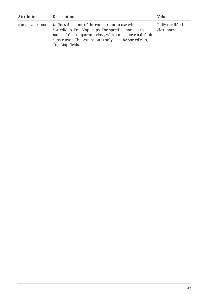| <b>Attribute</b> | <b>Description</b>                                                                                                                                                                                                                                           | <b>Values</b>                 |
|------------------|--------------------------------------------------------------------------------------------------------------------------------------------------------------------------------------------------------------------------------------------------------------|-------------------------------|
|                  | comparator-name Defines the name of the comparator to use with<br>SortedMap, TreeMap maps. The specified name is the<br>name of the comparator class, which must have a default<br>constructor. This extension is only used by SortedMap,<br>TreeMap fields. | Fully-qualified<br>class name |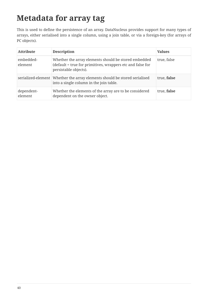## <span id="page-41-0"></span>**Metadata for array tag**

This is used to define the persistence of an array. DataNucleus provides support for many types of arrays, either serialised into a single column, using a join table, or via a foreign-key (for arrays of PC objects).

| <b>Attribute</b>      | <b>Description</b>                                                                                                                          | <b>Values</b> |
|-----------------------|---------------------------------------------------------------------------------------------------------------------------------------------|---------------|
| embedded-<br>element  | Whether the array elements should be stored embedded<br>(default = true for primitives, wrappers etc and false for<br>persistable objects). | true, false   |
|                       | serialized-element Whether the array elements should be stored serialised<br>into a single column in the join table.                        | true, false   |
| dependent-<br>element | Whether the elements of the array are to be considered<br>dependent on the owner object.                                                    | true, false   |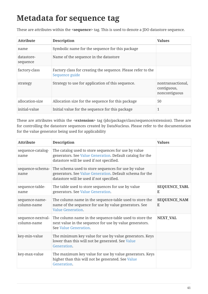#### <span id="page-42-0"></span>**Metadata for sequence tag**

These are attributes within the **<sequence>** tag. This is used to denote a JDO datastore sequence.

| <b>Attribute</b>       | <b>Description</b>                                                             | <b>Values</b>                                     |
|------------------------|--------------------------------------------------------------------------------|---------------------------------------------------|
| name                   | Symbolic name for the sequence for this package                                |                                                   |
| datastore-<br>sequence | Name of the sequence in the datastore                                          |                                                   |
| factory-class          | Factory class for creating the sequence. Please refer to the<br>Sequence guide |                                                   |
| strategy               | Strategy to use for application of this sequence.                              | nontransactional,<br>contiguous,<br>noncontiguous |
| allocation-size        | Allocation size for the sequence for this package                              | 50                                                |
| initial-value          | Initial value for the sequence for this package                                |                                                   |

These are attributes within the **<extension>** tag (jdo/package/class/sequence/extension). These are for controlling the datastore sequences created by DataNucleus. Please refer to the documentation for the value generator being used for applicability

| <b>Attribute</b>                 | <b>Description</b>                                                                                                                                            | <b>Values</b>             |
|----------------------------------|---------------------------------------------------------------------------------------------------------------------------------------------------------------|---------------------------|
| sequence-catalog-<br>name        | The catalog used to store sequences for use by value<br>generators. See Value Generation. Default catalog for the<br>datastore will be used if not specified. |                           |
| sequence-schema-<br>name         | The schema used to store sequences for use by value<br>generators. See Value Generation. Default schema for the<br>datastore will be used if not specified.   |                           |
| sequence-table-<br>name          | The table used to store sequences for use by value<br>generators. See Value Generation.                                                                       | <b>SEQUENCE_TABL</b><br>E |
| sequence-name-<br>column-name    | The column name in the sequence-table used to store the<br>name of the sequence for use by value generators. See<br><b>Value Generation.</b>                  | <b>SEQUENCE_NAM</b><br>E  |
| sequence-nextval-<br>column-name | The column name in the sequence-table used to store the<br>next value in the sequence for use by value generators.<br>See Value Generation.                   | <b>NEXT_VAL</b>           |
| key-min-value                    | The minimum key value for use by value generators. Keys<br>lower than this will not be generated. See Value<br>Generation.                                    |                           |
| key-max-value                    | The maximum key value for use by value generators. Keys<br>higher than this will not be generated. See Value<br>Generation.                                   |                           |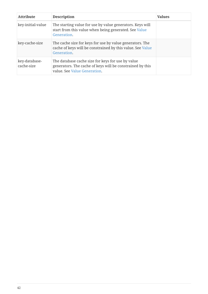| <b>Attribute</b>            | <b>Description</b>                                                                                                                             | <b>Values</b> |
|-----------------------------|------------------------------------------------------------------------------------------------------------------------------------------------|---------------|
| key-initial-value           | The starting value for use by value generators. Keys will<br>start from this value when being generated. See Value<br>Generation.              |               |
| key-cache-size              | The cache size for keys for use by value generators. The<br>cache of keys will be constrained by this value. See Value<br>Generation.          |               |
| key-database-<br>cache-size | The database cache size for keys for use by value<br>generators. The cache of keys will be constrained by this<br>value. See Value Generation. |               |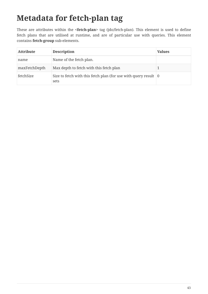## <span id="page-44-0"></span>**Metadata for fetch-plan tag**

These are attributes within the **<fetch-plan>** tag (jdo/fetch-plan). This element is used to define fetch plans that are utilised at runtime, and are of particular use with queries. This element contains **fetch-group** sub-elements.

| <b>Attribute</b> | <b>Description</b>                                                                      | <b>Values</b> |
|------------------|-----------------------------------------------------------------------------------------|---------------|
| name             | Name of the fetch plan.                                                                 |               |
| maxFetchDepth    | Max depth to fetch with this fetch plan                                                 |               |
| fetchSize        | Size to fetch with this fetch plan (for use with query result $\vert 0 \rangle$<br>sets |               |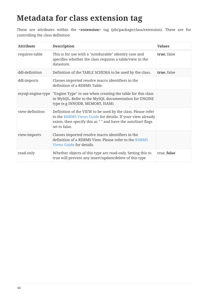#### <span id="page-45-0"></span>**Metadata for class extension tag**

These are attributes within the **<extension>** tag (jdo/package/class/extension). These are for controlling the class definition

| <b>Attribute</b>  | <b>Description</b>                                                                                                                                                                                           | <b>Values</b> |
|-------------------|--------------------------------------------------------------------------------------------------------------------------------------------------------------------------------------------------------------|---------------|
| requires-table    | This is for use with a "nondurable" identity case and<br>specifies whether the class requires a table/view in the<br>datastore.                                                                              | true, false   |
| ddl-definition    | Definition of the TABLE SCHEMA to be used by the class.                                                                                                                                                      | true, false   |
| ddl-imports       | Classes imported resolve macro identifiers in the<br>definition of a RDBMS Table.                                                                                                                            |               |
| mysql-engine-type | "Engine Type" to use when creating the table for this class<br>in MySQL. Refer to the MySQL documentation for ENGINE<br>type (e.g INNODB, MEMORY, ISAM)                                                      |               |
| view-definition   | Definition of the VIEW to be used by the class. Please refer<br>to the RDBMS Views Guide for details. If your view already<br>exists, then specify this as " " and have the autoStart flags<br>set to false. |               |
| view-imports      | Classes imported resolve macro identifiers in the<br>definition of a RDBMS View. Please refer to the RDBMS<br>Views Guide for details.                                                                       |               |
| read-only         | Whether objects of this type are read-only. Setting this to<br>true will prevent any insert/update/delete of this type                                                                                       | true, false   |